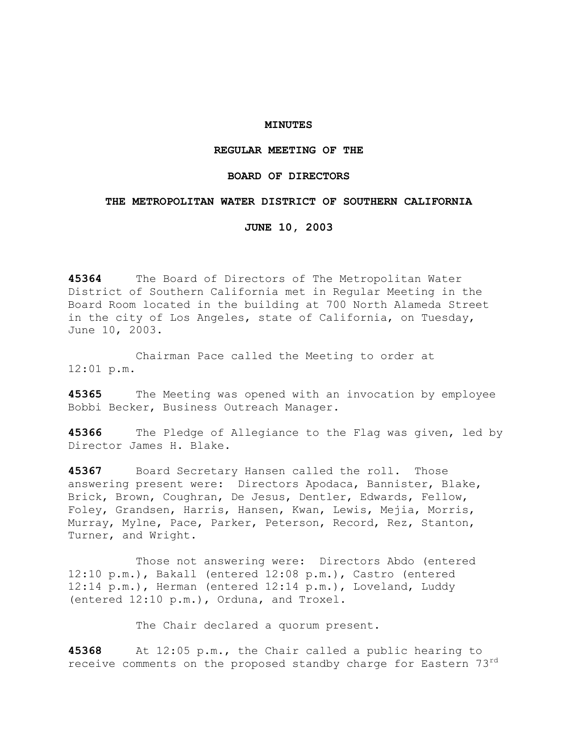### **MINUTES**

# **REGULAR MEETING OF THE**

# **BOARD OF DIRECTORS**

### **THE METROPOLITAN WATER DISTRICT OF SOUTHERN CALIFORNIA**

**JUNE 10, 2003** 

**45364** The Board of Directors of The Metropolitan Water District of Southern California met in Regular Meeting in the Board Room located in the building at 700 North Alameda Street in the city of Los Angeles, state of California, on Tuesday, June 10, 2003.

 Chairman Pace called the Meeting to order at 12:01 p.m.

**45365** The Meeting was opened with an invocation by employee Bobbi Becker, Business Outreach Manager.

**45366** The Pledge of Allegiance to the Flag was given, led by Director James H. Blake.

**45367** Board Secretary Hansen called the roll. Those answering present were: Directors Apodaca, Bannister, Blake, Brick, Brown, Coughran, De Jesus, Dentler, Edwards, Fellow, Foley, Grandsen, Harris, Hansen, Kwan, Lewis, Mejia, Morris, Murray, Mylne, Pace, Parker, Peterson, Record, Rez, Stanton, Turner, and Wright.

 Those not answering were: Directors Abdo (entered 12:10 p.m.), Bakall (entered 12:08 p.m.), Castro (entered 12:14 p.m.), Herman (entered 12:14 p.m.), Loveland, Luddy (entered 12:10 p.m.), Orduna, and Troxel.

The Chair declared a quorum present.

**45368** At 12:05 p.m., the Chair called a public hearing to receive comments on the proposed standby charge for Eastern 73rd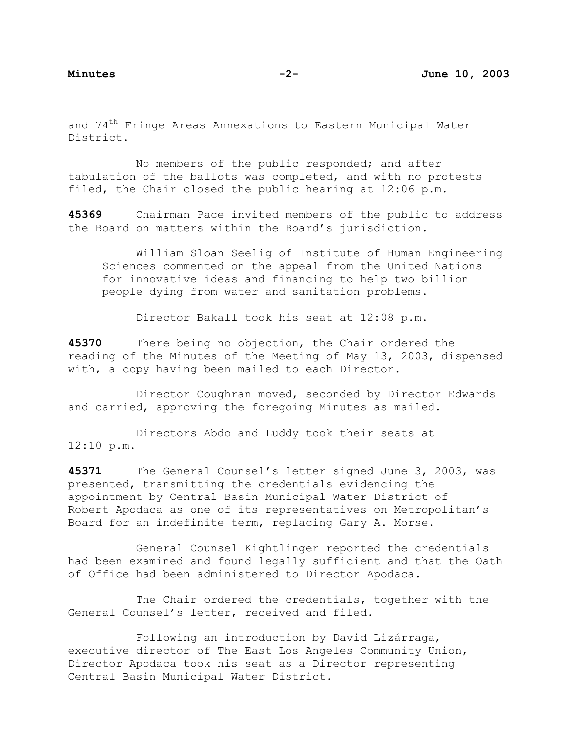and 74<sup>th</sup> Fringe Areas Annexations to Eastern Municipal Water District.

 No members of the public responded; and after tabulation of the ballots was completed, and with no protests filed, the Chair closed the public hearing at 12:06 p.m.

**45369** Chairman Pace invited members of the public to address the Board on matters within the Board's jurisdiction.

 William Sloan Seelig of Institute of Human Engineering Sciences commented on the appeal from the United Nations for innovative ideas and financing to help two billion people dying from water and sanitation problems.

Director Bakall took his seat at 12:08 p.m.

**45370** There being no objection, the Chair ordered the reading of the Minutes of the Meeting of May 13, 2003, dispensed with, a copy having been mailed to each Director.

 Director Coughran moved, seconded by Director Edwards and carried, approving the foregoing Minutes as mailed.

 Directors Abdo and Luddy took their seats at 12:10 p.m.

**45371** The General Counsel's letter signed June 3, 2003, was presented, transmitting the credentials evidencing the appointment by Central Basin Municipal Water District of Robert Apodaca as one of its representatives on Metropolitan's Board for an indefinite term, replacing Gary A. Morse.

 General Counsel Kightlinger reported the credentials had been examined and found legally sufficient and that the Oath of Office had been administered to Director Apodaca.

 The Chair ordered the credentials, together with the General Counsel's letter, received and filed.

 Following an introduction by David Lizárraga, executive director of The East Los Angeles Community Union, Director Apodaca took his seat as a Director representing Central Basin Municipal Water District.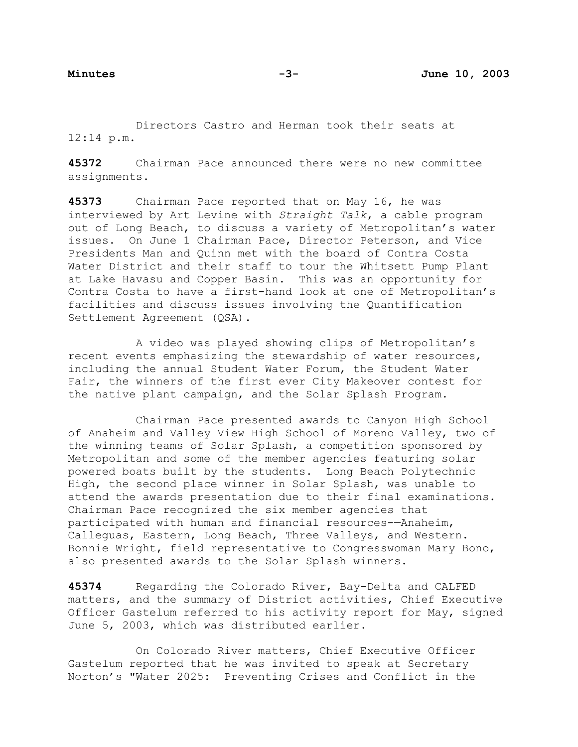Directors Castro and Herman took their seats at 12:14 p.m.

**45372** Chairman Pace announced there were no new committee assignments.

**45373** Chairman Pace reported that on May 16, he was interviewed by Art Levine with *Straight Talk*, a cable program out of Long Beach, to discuss a variety of Metropolitan's water issues. On June 1 Chairman Pace, Director Peterson, and Vice Presidents Man and Quinn met with the board of Contra Costa Water District and their staff to tour the Whitsett Pump Plant at Lake Havasu and Copper Basin. This was an opportunity for Contra Costa to have a first-hand look at one of Metropolitan's facilities and discuss issues involving the Quantification Settlement Agreement (QSA).

 A video was played showing clips of Metropolitan's recent events emphasizing the stewardship of water resources, including the annual Student Water Forum, the Student Water Fair, the winners of the first ever City Makeover contest for the native plant campaign, and the Solar Splash Program.

 Chairman Pace presented awards to Canyon High School of Anaheim and Valley View High School of Moreno Valley, two of the winning teams of Solar Splash, a competition sponsored by Metropolitan and some of the member agencies featuring solar powered boats built by the students. Long Beach Polytechnic High, the second place winner in Solar Splash, was unable to attend the awards presentation due to their final examinations. Chairman Pace recognized the six member agencies that participated with human and financial resources-—Anaheim, Calleguas, Eastern, Long Beach, Three Valleys, and Western. Bonnie Wright, field representative to Congresswoman Mary Bono, also presented awards to the Solar Splash winners.

**45374** Regarding the Colorado River, Bay-Delta and CALFED matters, and the summary of District activities, Chief Executive Officer Gastelum referred to his activity report for May, signed June 5, 2003, which was distributed earlier.

 On Colorado River matters, Chief Executive Officer Gastelum reported that he was invited to speak at Secretary Norton's "Water 2025: Preventing Crises and Conflict in the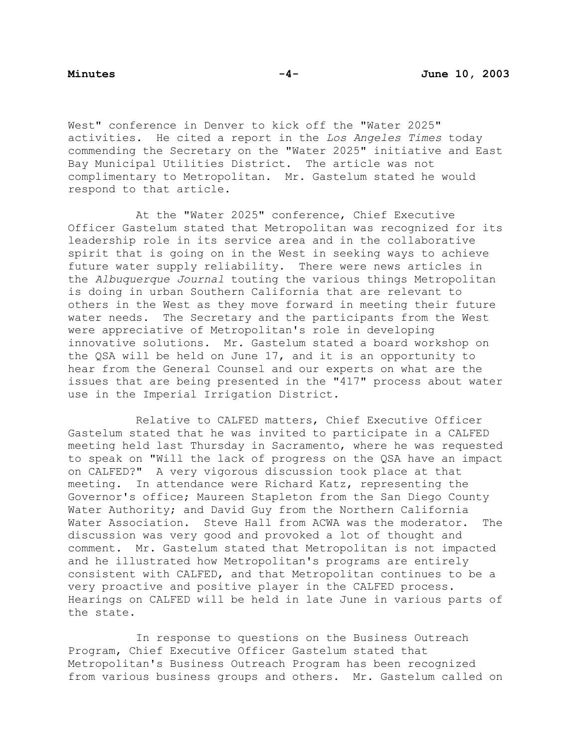West" conference in Denver to kick off the "Water 2025" activities. He cited a report in the *Los Angeles Times* today commending the Secretary on the "Water 2025" initiative and East Bay Municipal Utilities District. The article was not complimentary to Metropolitan. Mr. Gastelum stated he would respond to that article.

At the "Water 2025" conference, Chief Executive Officer Gastelum stated that Metropolitan was recognized for its leadership role in its service area and in the collaborative spirit that is going on in the West in seeking ways to achieve future water supply reliability. There were news articles in the *Albuquerque Journal* touting the various things Metropolitan is doing in urban Southern California that are relevant to others in the West as they move forward in meeting their future water needs. The Secretary and the participants from the West were appreciative of Metropolitan's role in developing innovative solutions. Mr. Gastelum stated a board workshop on the QSA will be held on June 17, and it is an opportunity to hear from the General Counsel and our experts on what are the issues that are being presented in the "417" process about water use in the Imperial Irrigation District.

 Relative to CALFED matters, Chief Executive Officer Gastelum stated that he was invited to participate in a CALFED meeting held last Thursday in Sacramento, where he was requested to speak on "Will the lack of progress on the QSA have an impact on CALFED?" A very vigorous discussion took place at that meeting. In attendance were Richard Katz, representing the Governor's office; Maureen Stapleton from the San Diego County Water Authority; and David Guy from the Northern California Water Association. Steve Hall from ACWA was the moderator. The discussion was very good and provoked a lot of thought and comment. Mr. Gastelum stated that Metropolitan is not impacted and he illustrated how Metropolitan's programs are entirely consistent with CALFED, and that Metropolitan continues to be a very proactive and positive player in the CALFED process. Hearings on CALFED will be held in late June in various parts of the state.

 In response to questions on the Business Outreach Program, Chief Executive Officer Gastelum stated that Metropolitan's Business Outreach Program has been recognized from various business groups and others. Mr. Gastelum called on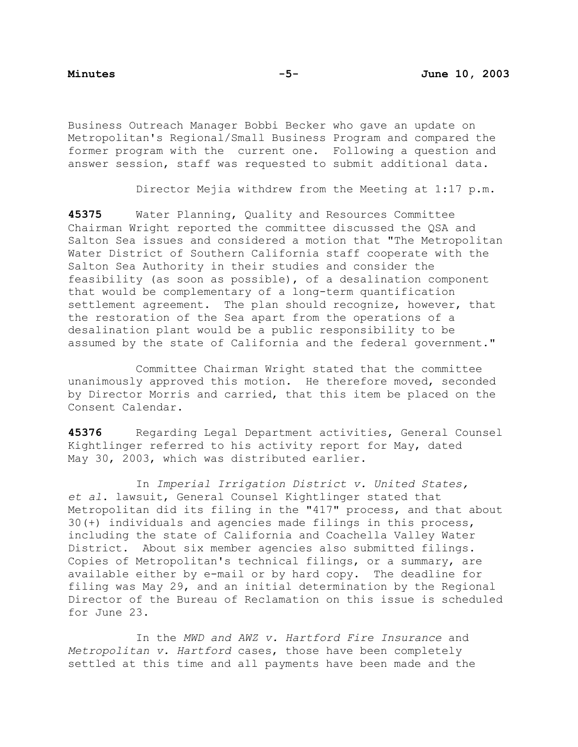Business Outreach Manager Bobbi Becker who gave an update on Metropolitan's Regional/Small Business Program and compared the former program with the current one. Following a question and answer session, staff was requested to submit additional data.

Director Mejia withdrew from the Meeting at 1:17 p.m.

**45375** Water Planning, Quality and Resources Committee Chairman Wright reported the committee discussed the QSA and Salton Sea issues and considered a motion that "The Metropolitan Water District of Southern California staff cooperate with the Salton Sea Authority in their studies and consider the feasibility (as soon as possible), of a desalination component that would be complementary of a long-term quantification settlement agreement. The plan should recognize, however, that the restoration of the Sea apart from the operations of a desalination plant would be a public responsibility to be assumed by the state of California and the federal government."

Committee Chairman Wright stated that the committee unanimously approved this motion. He therefore moved, seconded by Director Morris and carried, that this item be placed on the Consent Calendar.

**45376** Regarding Legal Department activities, General Counsel Kightlinger referred to his activity report for May, dated May 30, 2003, which was distributed earlier.

 In *Imperial Irrigation District v. United States, et al*. lawsuit, General Counsel Kightlinger stated that Metropolitan did its filing in the "417" process, and that about 30(+) individuals and agencies made filings in this process, including the state of California and Coachella Valley Water District. About six member agencies also submitted filings. Copies of Metropolitan's technical filings, or a summary, are available either by e-mail or by hard copy. The deadline for filing was May 29, and an initial determination by the Regional Director of the Bureau of Reclamation on this issue is scheduled for June 23.

 In the *MWD and AWZ v. Hartford Fire Insurance* and *Metropolitan v. Hartford* cases, those have been completely settled at this time and all payments have been made and the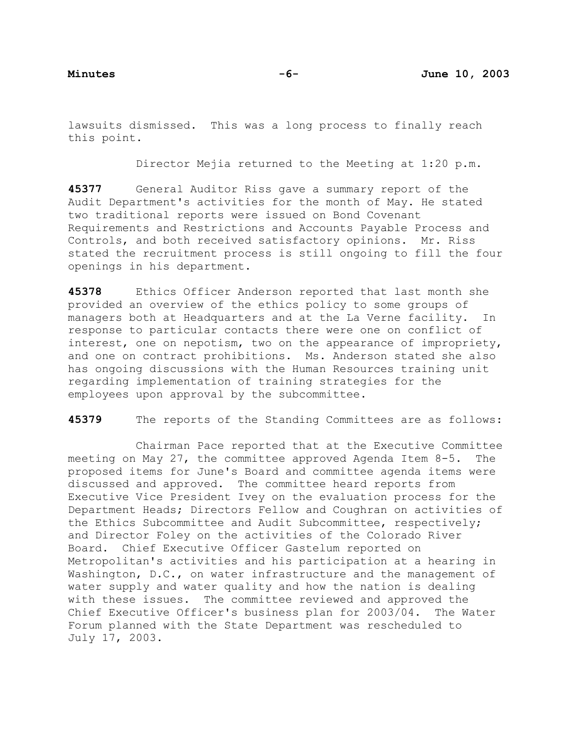lawsuits dismissed. This was a long process to finally reach this point.

Director Mejia returned to the Meeting at 1:20 p.m.

**45377** General Auditor Riss gave a summary report of the Audit Department's activities for the month of May. He stated two traditional reports were issued on Bond Covenant Requirements and Restrictions and Accounts Payable Process and Controls, and both received satisfactory opinions. Mr. Riss stated the recruitment process is still ongoing to fill the four openings in his department.

**45378** Ethics Officer Anderson reported that last month she provided an overview of the ethics policy to some groups of managers both at Headquarters and at the La Verne facility. In response to particular contacts there were one on conflict of interest, one on nepotism, two on the appearance of impropriety, and one on contract prohibitions. Ms. Anderson stated she also has ongoing discussions with the Human Resources training unit regarding implementation of training strategies for the employees upon approval by the subcommittee.

**45379** The reports of the Standing Committees are as follows:

Chairman Pace reported that at the Executive Committee meeting on May 27, the committee approved Agenda Item 8-5. The proposed items for June's Board and committee agenda items were discussed and approved. The committee heard reports from Executive Vice President Ivey on the evaluation process for the Department Heads; Directors Fellow and Coughran on activities of the Ethics Subcommittee and Audit Subcommittee, respectively; and Director Foley on the activities of the Colorado River Board. Chief Executive Officer Gastelum reported on Metropolitan's activities and his participation at a hearing in Washington, D.C., on water infrastructure and the management of water supply and water quality and how the nation is dealing with these issues. The committee reviewed and approved the Chief Executive Officer's business plan for 2003/04. The Water Forum planned with the State Department was rescheduled to July 17, 2003.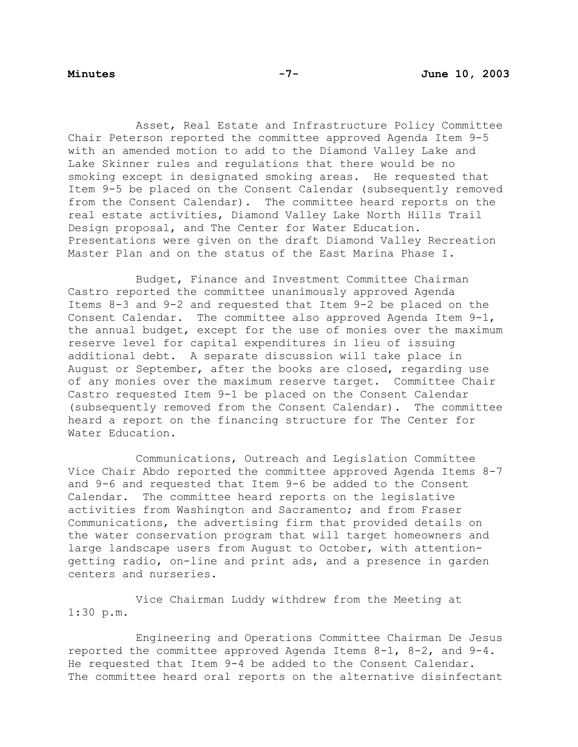Asset, Real Estate and Infrastructure Policy Committee Chair Peterson reported the committee approved Agenda Item 9-5 with an amended motion to add to the Diamond Valley Lake and Lake Skinner rules and regulations that there would be no smoking except in designated smoking areas. He requested that Item 9-5 be placed on the Consent Calendar (subsequently removed from the Consent Calendar). The committee heard reports on the real estate activities, Diamond Valley Lake North Hills Trail Design proposal, and The Center for Water Education. Presentations were given on the draft Diamond Valley Recreation Master Plan and on the status of the East Marina Phase I.

 Budget, Finance and Investment Committee Chairman Castro reported the committee unanimously approved Agenda Items 8-3 and 9-2 and requested that Item 9-2 be placed on the Consent Calendar. The committee also approved Agenda Item 9-1, the annual budget, except for the use of monies over the maximum reserve level for capital expenditures in lieu of issuing additional debt. A separate discussion will take place in August or September, after the books are closed, regarding use of any monies over the maximum reserve target. Committee Chair Castro requested Item 9-1 be placed on the Consent Calendar (subsequently removed from the Consent Calendar). The committee heard a report on the financing structure for The Center for Water Education.

 Communications, Outreach and Legislation Committee Vice Chair Abdo reported the committee approved Agenda Items 8-7 and 9-6 and requested that Item 9-6 be added to the Consent Calendar. The committee heard reports on the legislative activities from Washington and Sacramento; and from Fraser Communications, the advertising firm that provided details on the water conservation program that will target homeowners and large landscape users from August to October, with attentiongetting radio, on-line and print ads, and a presence in garden centers and nurseries.

 Vice Chairman Luddy withdrew from the Meeting at 1:30 p.m.

 Engineering and Operations Committee Chairman De Jesus reported the committee approved Agenda Items 8-1, 8-2, and 9-4. He requested that Item 9-4 be added to the Consent Calendar. The committee heard oral reports on the alternative disinfectant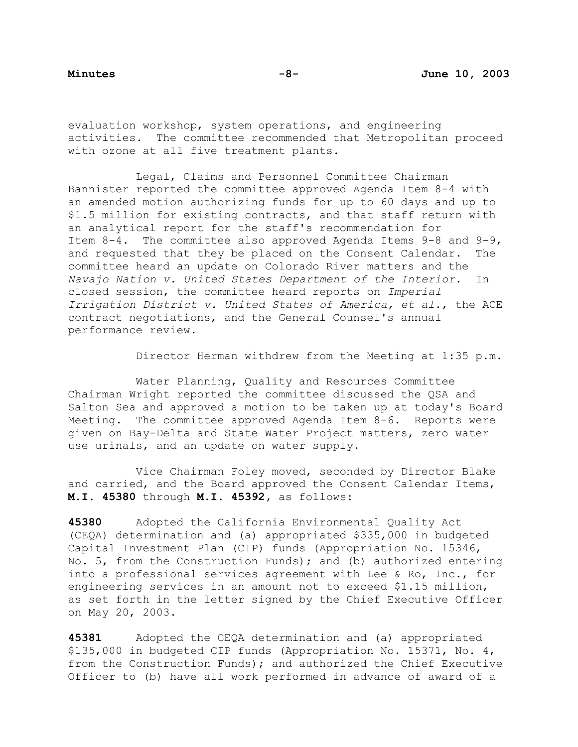evaluation workshop, system operations, and engineering activities. The committee recommended that Metropolitan proceed with ozone at all five treatment plants.

 Legal, Claims and Personnel Committee Chairman Bannister reported the committee approved Agenda Item 8-4 with an amended motion authorizing funds for up to 60 days and up to \$1.5 million for existing contracts, and that staff return with an analytical report for the staff's recommendation for Item 8-4. The committee also approved Agenda Items 9-8 and 9-9, and requested that they be placed on the Consent Calendar. The committee heard an update on Colorado River matters and the *Navajo Nation v. United States Department of the Interior*. In closed session, the committee heard reports on *Imperial Irrigation District v. United States of America, et al*., the ACE contract negotiations, and the General Counsel's annual performance review.

Director Herman withdrew from the Meeting at 1:35 p.m.

 Water Planning, Quality and Resources Committee Chairman Wright reported the committee discussed the QSA and Salton Sea and approved a motion to be taken up at today's Board Meeting. The committee approved Agenda Item 8-6. Reports were given on Bay-Delta and State Water Project matters, zero water use urinals, and an update on water supply.

 Vice Chairman Foley moved, seconded by Director Blake and carried, and the Board approved the Consent Calendar Items, **M.I. 45380** through **M.I. 45392,** as follows:

**45380** Adopted the California Environmental Quality Act (CEQA) determination and (a) appropriated \$335,000 in budgeted Capital Investment Plan (CIP) funds (Appropriation No. 15346, No. 5, from the Construction Funds); and (b) authorized entering into a professional services agreement with Lee & Ro, Inc., for engineering services in an amount not to exceed \$1.15 million, as set forth in the letter signed by the Chief Executive Officer on May 20, 2003.

**45381** Adopted the CEQA determination and (a) appropriated \$135,000 in budgeted CIP funds (Appropriation No. 15371, No. 4, from the Construction Funds); and authorized the Chief Executive Officer to (b) have all work performed in advance of award of a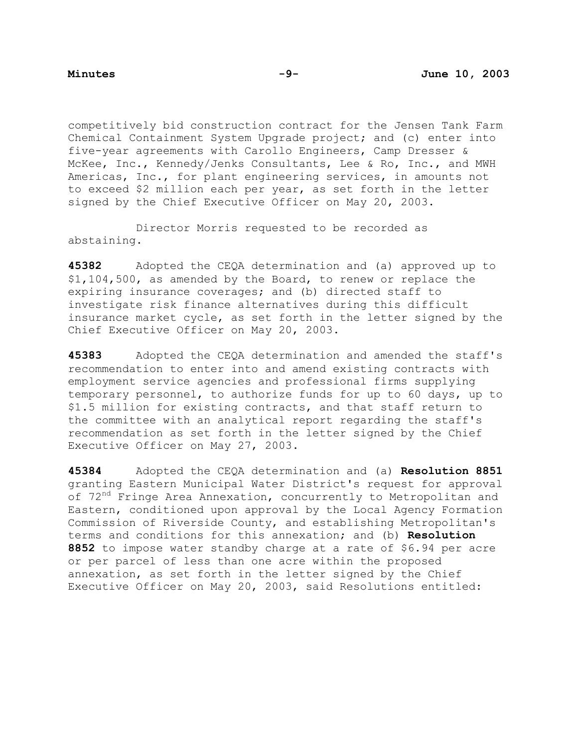competitively bid construction contract for the Jensen Tank Farm Chemical Containment System Upgrade project; and (c) enter into five-year agreements with Carollo Engineers, Camp Dresser & McKee, Inc., Kennedy/Jenks Consultants, Lee & Ro, Inc., and MWH Americas, Inc., for plant engineering services, in amounts not to exceed \$2 million each per year, as set forth in the letter signed by the Chief Executive Officer on May 20, 2003.

 Director Morris requested to be recorded as abstaining.

**45382** Adopted the CEQA determination and (a) approved up to \$1,104,500, as amended by the Board, to renew or replace the expiring insurance coverages; and (b) directed staff to investigate risk finance alternatives during this difficult insurance market cycle, as set forth in the letter signed by the Chief Executive Officer on May 20, 2003.

**45383** Adopted the CEQA determination and amended the staff's recommendation to enter into and amend existing contracts with employment service agencies and professional firms supplying temporary personnel, to authorize funds for up to 60 days, up to \$1.5 million for existing contracts, and that staff return to the committee with an analytical report regarding the staff's recommendation as set forth in the letter signed by the Chief Executive Officer on May 27, 2003.

**45384** Adopted the CEQA determination and (a) **Resolution 8851** granting Eastern Municipal Water District's request for approval of 72<sup>nd</sup> Fringe Area Annexation, concurrently to Metropolitan and Eastern, conditioned upon approval by the Local Agency Formation Commission of Riverside County, and establishing Metropolitan's terms and conditions for this annexation; and (b) **Resolution 8852** to impose water standby charge at a rate of \$6.94 per acre or per parcel of less than one acre within the proposed annexation, as set forth in the letter signed by the Chief Executive Officer on May 20, 2003, said Resolutions entitled: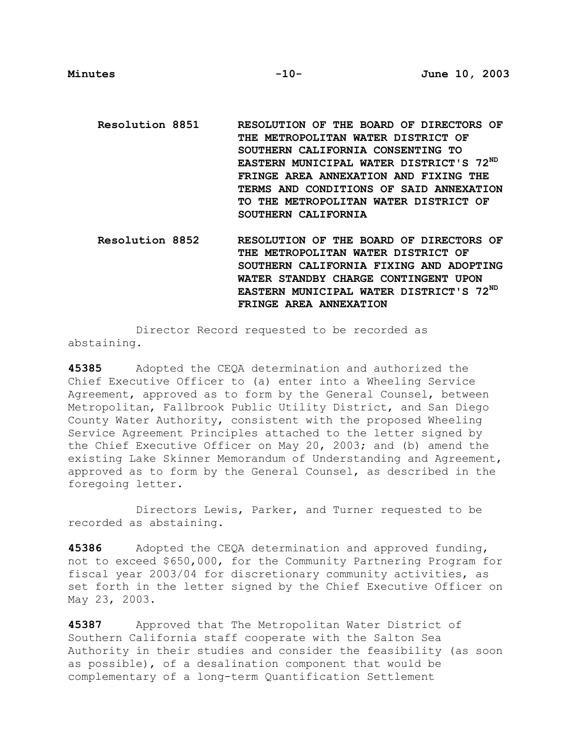- **Resolution 8851 RESOLUTION OF THE BOARD OF DIRECTORS OF THE METROPOLITAN WATER DISTRICT OF SOUTHERN CALIFORNIA CONSENTING TO EASTERN MUNICIPAL WATER DISTRICT'S 72ND FRINGE AREA ANNEXATION AND FIXING THE TERMS AND CONDITIONS OF SAID ANNEXATION TO THE METROPOLITAN WATER DISTRICT OF SOUTHERN CALIFORNIA**
- **Resolution 8852 RESOLUTION OF THE BOARD OF DIRECTORS OF THE METROPOLITAN WATER DISTRICT OF SOUTHERN CALIFORNIA FIXING AND ADOPTING WATER STANDBY CHARGE CONTINGENT UPON EASTERN MUNICIPAL WATER DISTRICT'S 72ND FRINGE AREA ANNEXATION**

 Director Record requested to be recorded as abstaining.

**45385** Adopted the CEQA determination and authorized the Chief Executive Officer to (a) enter into a Wheeling Service Agreement, approved as to form by the General Counsel, between Metropolitan, Fallbrook Public Utility District, and San Diego County Water Authority, consistent with the proposed Wheeling Service Agreement Principles attached to the letter signed by the Chief Executive Officer on May 20, 2003; and (b) amend the existing Lake Skinner Memorandum of Understanding and Agreement, approved as to form by the General Counsel, as described in the foregoing letter.

 Directors Lewis, Parker, and Turner requested to be recorded as abstaining.

**45386** Adopted the CEQA determination and approved funding, not to exceed \$650,000, for the Community Partnering Program for fiscal year 2003/04 for discretionary community activities, as set forth in the letter signed by the Chief Executive Officer on May 23, 2003.

**45387** Approved that The Metropolitan Water District of Southern California staff cooperate with the Salton Sea Authority in their studies and consider the feasibility (as soon as possible), of a desalination component that would be complementary of a long-term Quantification Settlement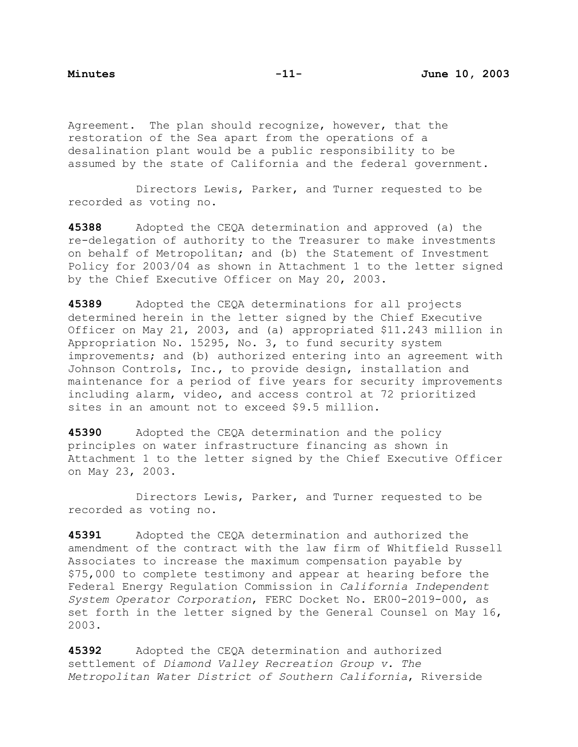Agreement. The plan should recognize, however, that the restoration of the Sea apart from the operations of a desalination plant would be a public responsibility to be assumed by the state of California and the federal government.

 Directors Lewis, Parker, and Turner requested to be recorded as voting no.

**45388** Adopted the CEQA determination and approved (a) the re-delegation of authority to the Treasurer to make investments on behalf of Metropolitan; and (b) the Statement of Investment Policy for 2003/04 as shown in Attachment 1 to the letter signed by the Chief Executive Officer on May 20, 2003.

**45389** Adopted the CEQA determinations for all projects determined herein in the letter signed by the Chief Executive Officer on May 21, 2003, and (a) appropriated \$11.243 million in Appropriation No. 15295, No. 3, to fund security system improvements; and (b) authorized entering into an agreement with Johnson Controls, Inc., to provide design, installation and maintenance for a period of five years for security improvements including alarm, video, and access control at 72 prioritized sites in an amount not to exceed \$9.5 million.

**45390** Adopted the CEQA determination and the policy principles on water infrastructure financing as shown in Attachment 1 to the letter signed by the Chief Executive Officer on May 23, 2003.

 Directors Lewis, Parker, and Turner requested to be recorded as voting no.

**45391** Adopted the CEQA determination and authorized the amendment of the contract with the law firm of Whitfield Russell Associates to increase the maximum compensation payable by \$75,000 to complete testimony and appear at hearing before the Federal Energy Regulation Commission in *California Independent System Operator Corporation*, FERC Docket No. ER00-2019-000, as set forth in the letter signed by the General Counsel on May 16, 2003.

**45392** Adopted the CEQA determination and authorized settlement of *Diamond Valley Recreation Group v. The Metropolitan Water District of Southern California*, Riverside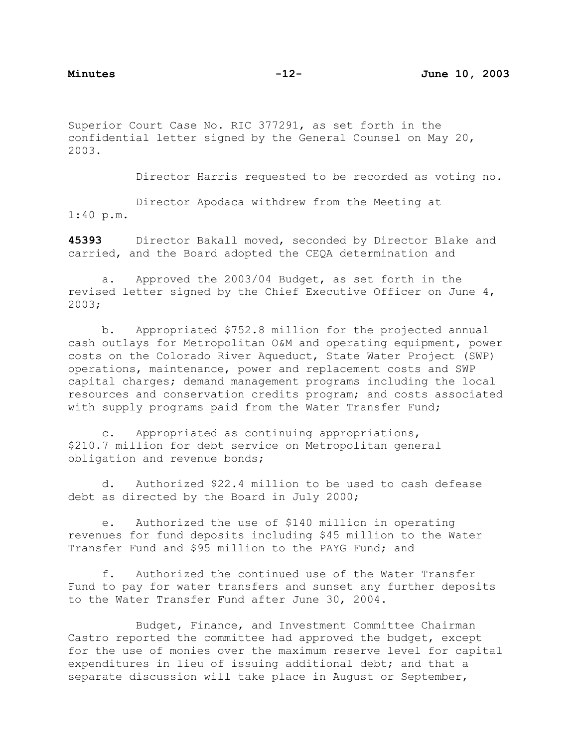Superior Court Case No. RIC 377291, as set forth in the confidential letter signed by the General Counsel on May 20, 2003.

Director Harris requested to be recorded as voting no.

 Director Apodaca withdrew from the Meeting at 1:40 p.m.

**45393** Director Bakall moved, seconded by Director Blake and carried, and the Board adopted the CEQA determination and

a. Approved the 2003/04 Budget, as set forth in the revised letter signed by the Chief Executive Officer on June 4, 2003;

b. Appropriated \$752.8 million for the projected annual cash outlays for Metropolitan O&M and operating equipment, power costs on the Colorado River Aqueduct, State Water Project (SWP) operations, maintenance, power and replacement costs and SWP capital charges; demand management programs including the local resources and conservation credits program; and costs associated with supply programs paid from the Water Transfer Fund;

c. Appropriated as continuing appropriations, \$210.7 million for debt service on Metropolitan general obligation and revenue bonds;

d. Authorized \$22.4 million to be used to cash defease debt as directed by the Board in July 2000;

e. Authorized the use of \$140 million in operating revenues for fund deposits including \$45 million to the Water Transfer Fund and \$95 million to the PAYG Fund; and

f. Authorized the continued use of the Water Transfer Fund to pay for water transfers and sunset any further deposits to the Water Transfer Fund after June 30, 2004.

 Budget, Finance, and Investment Committee Chairman Castro reported the committee had approved the budget, except for the use of monies over the maximum reserve level for capital expenditures in lieu of issuing additional debt; and that a separate discussion will take place in August or September,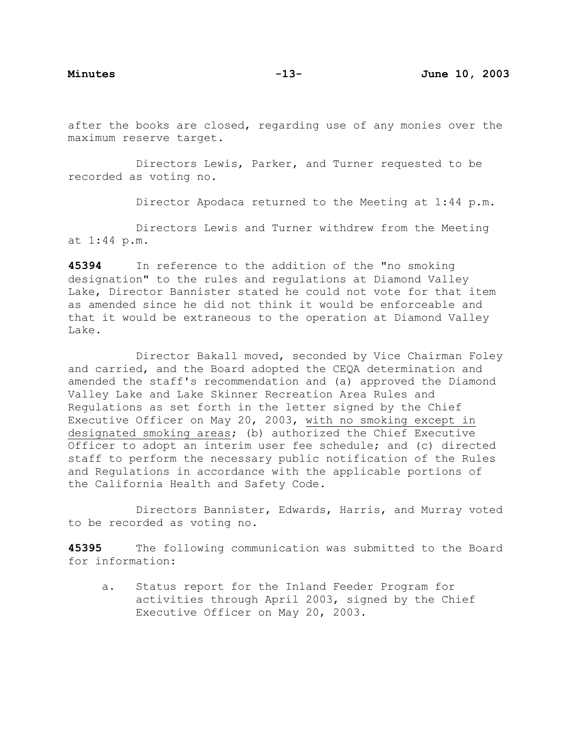after the books are closed, regarding use of any monies over the maximum reserve target.

 Directors Lewis, Parker, and Turner requested to be recorded as voting no.

Director Apodaca returned to the Meeting at 1:44 p.m.

 Directors Lewis and Turner withdrew from the Meeting at 1:44 p.m.

**45394** In reference to the addition of the "no smoking designation" to the rules and regulations at Diamond Valley Lake, Director Bannister stated he could not vote for that item as amended since he did not think it would be enforceable and that it would be extraneous to the operation at Diamond Valley Lake.

 Director Bakall moved, seconded by Vice Chairman Foley and carried, and the Board adopted the CEQA determination and amended the staff's recommendation and (a) approved the Diamond Valley Lake and Lake Skinner Recreation Area Rules and Regulations as set forth in the letter signed by the Chief Executive Officer on May 20, 2003, with no smoking except in designated smoking areas; (b) authorized the Chief Executive Officer to adopt an interim user fee schedule; and (c) directed staff to perform the necessary public notification of the Rules and Regulations in accordance with the applicable portions of the California Health and Safety Code.

 Directors Bannister, Edwards, Harris, and Murray voted to be recorded as voting no.

**45395** The following communication was submitted to the Board for information:

a. Status report for the Inland Feeder Program for activities through April 2003, signed by the Chief Executive Officer on May 20, 2003.